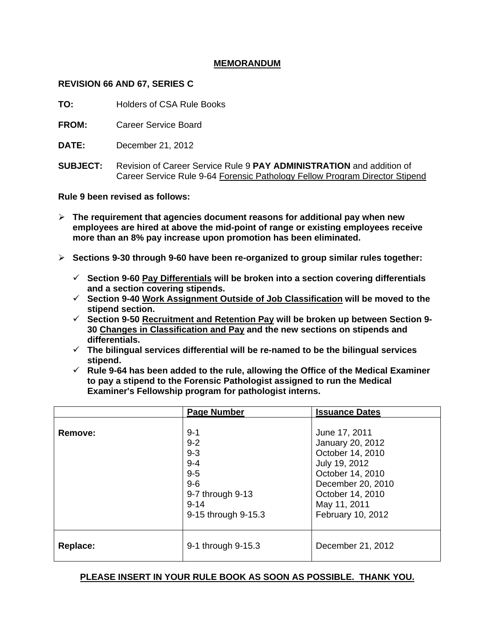# **MEMORANDUM**

## **REVISION 66 AND 67, SERIES C**

**TO:** Holders of CSA Rule Books

**FROM:** Career Service Board

- **DATE:** December 21, 2012
- **SUBJECT:** Revision of Career Service Rule 9 **PAY ADMINISTRATION** and addition of Career Service Rule 9-64 Forensic Pathology Fellow Program Director Stipend

**Rule 9 been revised as follows:** 

- **The requirement that agencies document reasons for additional pay when new employees are hired at above the mid-point of range or existing employees receive more than an 8% pay increase upon promotion has been eliminated.**
- **Sections 9-30 through 9-60 have been re-organized to group similar rules together:** 
	- **Section 9-60 Pay Differentials will be broken into a section covering differentials and a section covering stipends.**
	- **Section 9-40 Work Assignment Outside of Job Classification will be moved to the stipend section.**
	- **Section 9-50 Recruitment and Retention Pay will be broken up between Section 9- 30 Changes in Classification and Pay and the new sections on stipends and differentials.**
	- **The bilingual services differential will be re-named to be the bilingual services stipend.**
	- $\checkmark$  Rule 9-64 has been added to the rule, allowing the Office of the Medical Examiner **to pay a stipend to the Forensic Pathologist assigned to run the Medical Examiner's Fellowship program for pathologist interns.**

|          | <b>Page Number</b>                                                                                                | <b>Issuance Dates</b>                                                                                                                                                    |
|----------|-------------------------------------------------------------------------------------------------------------------|--------------------------------------------------------------------------------------------------------------------------------------------------------------------------|
| Remove:  | $9 - 1$<br>$9 - 2$<br>$9 - 3$<br>$9 - 4$<br>$9-5$<br>$9-6$<br>9-7 through 9-13<br>$9 - 14$<br>9-15 through 9-15.3 | June 17, 2011<br>January 20, 2012<br>October 14, 2010<br>July 19, 2012<br>October 14, 2010<br>December 20, 2010<br>October 14, 2010<br>May 11, 2011<br>February 10, 2012 |
| Replace: | 9-1 through 9-15.3                                                                                                | December 21, 2012                                                                                                                                                        |

# **PLEASE INSERT IN YOUR RULE BOOK AS SOON AS POSSIBLE. THANK YOU.**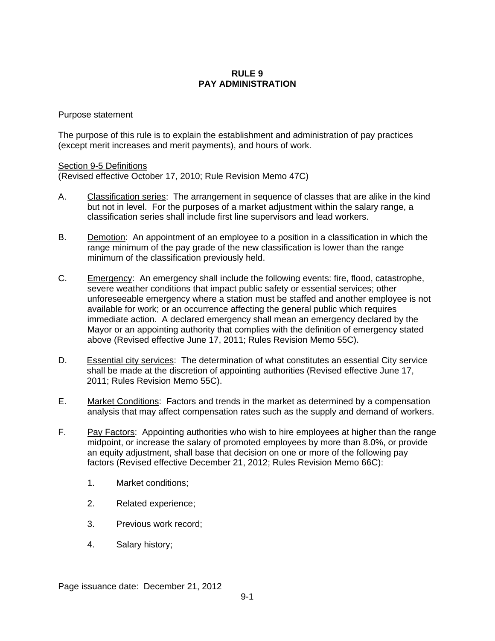## **RULE 9 PAY ADMINISTRATION**

### Purpose statement

The purpose of this rule is to explain the establishment and administration of pay practices (except merit increases and merit payments), and hours of work.

### Section 9-5 Definitions

(Revised effective October 17, 2010; Rule Revision Memo 47C)

- A. Classification series: The arrangement in sequence of classes that are alike in the kind but not in level. For the purposes of a market adjustment within the salary range, a classification series shall include first line supervisors and lead workers.
- B. Demotion: An appointment of an employee to a position in a classification in which the range minimum of the pay grade of the new classification is lower than the range minimum of the classification previously held.
- C. Emergency: An emergency shall include the following events: fire, flood, catastrophe, severe weather conditions that impact public safety or essential services; other unforeseeable emergency where a station must be staffed and another employee is not available for work; or an occurrence affecting the general public which requires immediate action. A declared emergency shall mean an emergency declared by the Mayor or an appointing authority that complies with the definition of emergency stated above (Revised effective June 17, 2011; Rules Revision Memo 55C).
- D. Essential city services: The determination of what constitutes an essential City service shall be made at the discretion of appointing authorities (Revised effective June 17, 2011; Rules Revision Memo 55C).
- E. Market Conditions: Factors and trends in the market as determined by a compensation analysis that may affect compensation rates such as the supply and demand of workers.
- F. Pay Factors: Appointing authorities who wish to hire employees at higher than the range midpoint, or increase the salary of promoted employees by more than 8.0%, or provide an equity adjustment, shall base that decision on one or more of the following pay factors (Revised effective December 21, 2012; Rules Revision Memo 66C):
	- 1. Market conditions;
	- 2. Related experience;
	- 3. Previous work record;
	- 4. Salary history;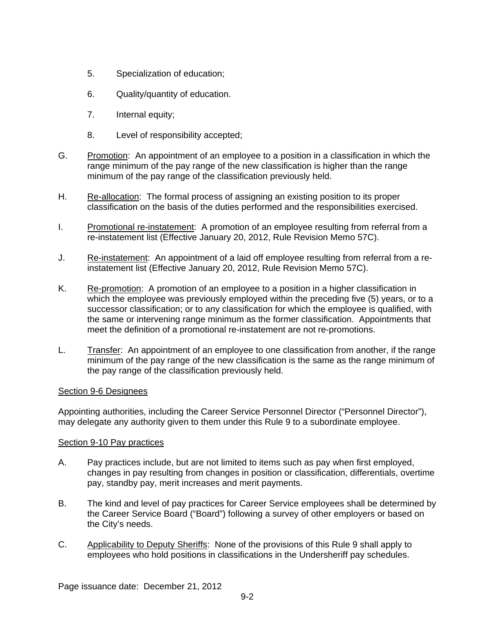- 5. Specialization of education;
- 6. Quality/quantity of education.
- 7. Internal equity;
- 8. Level of responsibility accepted;
- G. Promotion: An appointment of an employee to a position in a classification in which the range minimum of the pay range of the new classification is higher than the range minimum of the pay range of the classification previously held.
- H. Re-allocation: The formal process of assigning an existing position to its proper classification on the basis of the duties performed and the responsibilities exercised.
- I. Promotional re-instatement: A promotion of an employee resulting from referral from a re-instatement list (Effective January 20, 2012, Rule Revision Memo 57C).
- J. Re-instatement: An appointment of a laid off employee resulting from referral from a reinstatement list (Effective January 20, 2012, Rule Revision Memo 57C).
- K. Re-promotion: A promotion of an employee to a position in a higher classification in which the employee was previously employed within the preceding five (5) years, or to a successor classification; or to any classification for which the employee is qualified, with the same or intervening range minimum as the former classification. Appointments that meet the definition of a promotional re-instatement are not re-promotions.
- L. Transfer: An appointment of an employee to one classification from another, if the range minimum of the pay range of the new classification is the same as the range minimum of the pay range of the classification previously held.

# Section 9-6 Designees

Appointing authorities, including the Career Service Personnel Director ("Personnel Director"), may delegate any authority given to them under this Rule 9 to a subordinate employee.

### Section 9-10 Pay practices

- A. Pay practices include, but are not limited to items such as pay when first employed, changes in pay resulting from changes in position or classification, differentials, overtime pay, standby pay, merit increases and merit payments.
- B. The kind and level of pay practices for Career Service employees shall be determined by the Career Service Board ("Board") following a survey of other employers or based on the City's needs.
- C. Applicability to Deputy Sheriffs:None of the provisions of this Rule 9 shall apply to employees who hold positions in classifications in the Undersheriff pay schedules.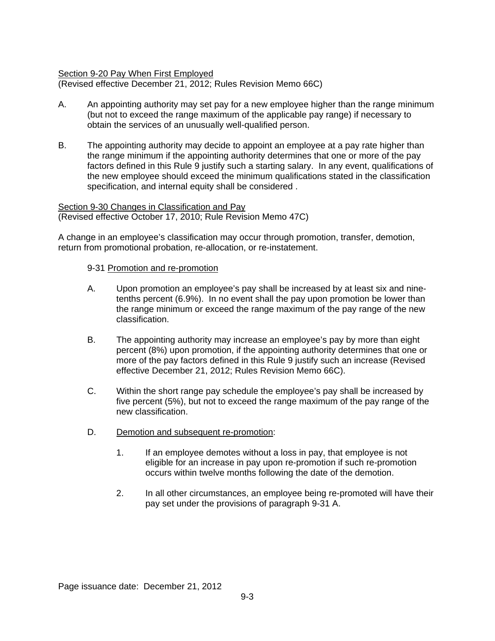## Section 9-20 Pay When First Employed

(Revised effective December 21, 2012; Rules Revision Memo 66C)

- A. An appointing authority may set pay for a new employee higher than the range minimum (but not to exceed the range maximum of the applicable pay range) if necessary to obtain the services of an unusually well-qualified person.
- B. The appointing authority may decide to appoint an employee at a pay rate higher than the range minimum if the appointing authority determines that one or more of the pay factors defined in this Rule 9 justify such a starting salary. In any event, qualifications of the new employee should exceed the minimum qualifications stated in the classification specification, and internal equity shall be considered .

# Section 9-30 Changes in Classification and Pay

(Revised effective October 17, 2010; Rule Revision Memo 47C)

A change in an employee's classification may occur through promotion, transfer, demotion, return from promotional probation, re-allocation, or re-instatement.

### 9-31 Promotion and re-promotion

- A. Upon promotion an employee's pay shall be increased by at least six and ninetenths percent (6.9%). In no event shall the pay upon promotion be lower than the range minimum or exceed the range maximum of the pay range of the new classification.
- B. The appointing authority may increase an employee's pay by more than eight percent (8%) upon promotion, if the appointing authority determines that one or more of the pay factors defined in this Rule 9 justify such an increase (Revised effective December 21, 2012; Rules Revision Memo 66C).
- C. Within the short range pay schedule the employee's pay shall be increased by five percent (5%), but not to exceed the range maximum of the pay range of the new classification.
- D. Demotion and subsequent re-promotion:
	- 1. If an employee demotes without a loss in pay, that employee is not eligible for an increase in pay upon re-promotion if such re-promotion occurs within twelve months following the date of the demotion.
	- 2. In all other circumstances, an employee being re-promoted will have their pay set under the provisions of paragraph 9-31 A.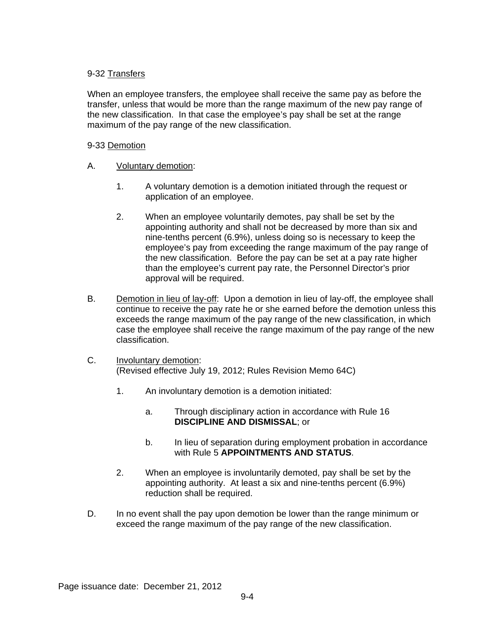# 9-32 Transfers

When an employee transfers, the employee shall receive the same pay as before the transfer, unless that would be more than the range maximum of the new pay range of the new classification. In that case the employee's pay shall be set at the range maximum of the pay range of the new classification.

# 9-33 Demotion

- A. Voluntary demotion:
	- 1. A voluntary demotion is a demotion initiated through the request or application of an employee.
	- 2. When an employee voluntarily demotes, pay shall be set by the appointing authority and shall not be decreased by more than six and nine-tenths percent (6.9%), unless doing so is necessary to keep the employee's pay from exceeding the range maximum of the pay range of the new classification. Before the pay can be set at a pay rate higher than the employee's current pay rate, the Personnel Director's prior approval will be required.
- B. Demotion in lieu of lay-off: Upon a demotion in lieu of lay-off, the employee shall continue to receive the pay rate he or she earned before the demotion unless this exceeds the range maximum of the pay range of the new classification, in which case the employee shall receive the range maximum of the pay range of the new classification.
- C. Involuntary demotion: (Revised effective July 19, 2012; Rules Revision Memo 64C)
	- 1. An involuntary demotion is a demotion initiated:
		- a. Through disciplinary action in accordance with Rule 16 **DISCIPLINE AND DISMISSAL**; or
		- b. In lieu of separation during employment probation in accordance with Rule 5 **APPOINTMENTS AND STATUS**.
	- 2. When an employee is involuntarily demoted, pay shall be set by the appointing authority. At least a six and nine-tenths percent (6.9%) reduction shall be required.
- D. In no event shall the pay upon demotion be lower than the range minimum or exceed the range maximum of the pay range of the new classification.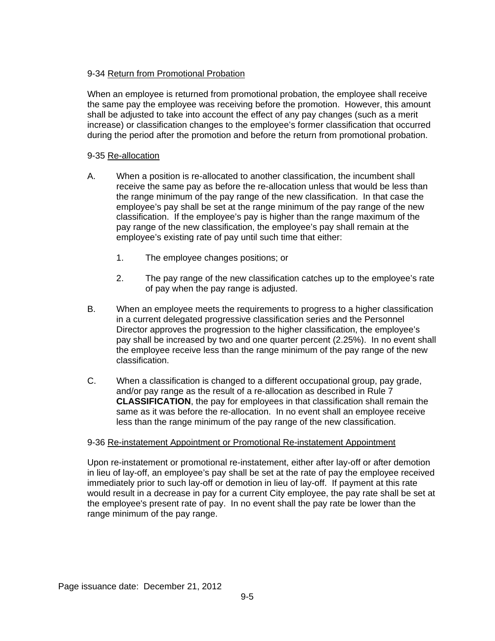# 9-34 Return from Promotional Probation

When an employee is returned from promotional probation, the employee shall receive the same pay the employee was receiving before the promotion. However, this amount shall be adjusted to take into account the effect of any pay changes (such as a merit increase) or classification changes to the employee's former classification that occurred during the period after the promotion and before the return from promotional probation.

# 9-35 Re-allocation

- A. When a position is re-allocated to another classification, the incumbent shall receive the same pay as before the re-allocation unless that would be less than the range minimum of the pay range of the new classification. In that case the employee's pay shall be set at the range minimum of the pay range of the new classification. If the employee's pay is higher than the range maximum of the pay range of the new classification, the employee's pay shall remain at the employee's existing rate of pay until such time that either:
	- 1. The employee changes positions; or
	- 2. The pay range of the new classification catches up to the employee's rate of pay when the pay range is adjusted.
- B. When an employee meets the requirements to progress to a higher classification in a current delegated progressive classification series and the Personnel Director approves the progression to the higher classification, the employee's pay shall be increased by two and one quarter percent (2.25%). In no event shall the employee receive less than the range minimum of the pay range of the new classification.
- C. When a classification is changed to a different occupational group, pay grade, and/or pay range as the result of a re-allocation as described in Rule 7 **CLASSIFICATION**, the pay for employees in that classification shall remain the same as it was before the re-allocation. In no event shall an employee receive less than the range minimum of the pay range of the new classification.

# 9-36 Re-instatement Appointment or Promotional Re-instatement Appointment

Upon re-instatement or promotional re-instatement, either after lay-off or after demotion in lieu of lay-off, an employee's pay shall be set at the rate of pay the employee received immediately prior to such lay-off or demotion in lieu of lay-off. If payment at this rate would result in a decrease in pay for a current City employee, the pay rate shall be set at the employee's present rate of pay. In no event shall the pay rate be lower than the range minimum of the pay range.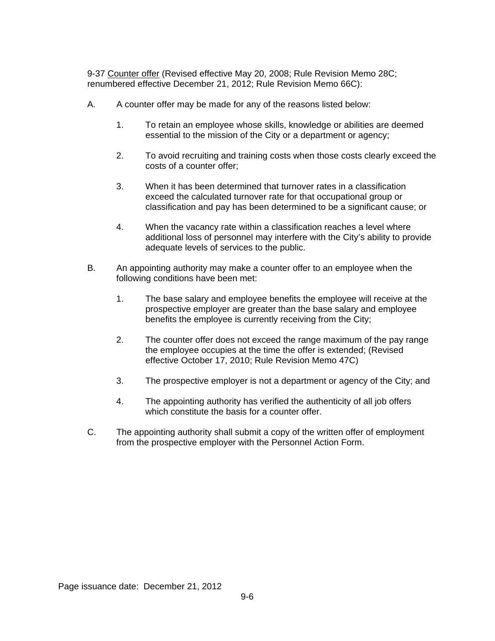9-37 Counter offer (Revised effective May 20, 2008; Rule Revision Memo 28C; renumbered effective December 21, 2012; Rule Revision Memo 66C):

- A. A counter offer may be made for any of the reasons listed below:
	- 1. To retain an employee whose skills, knowledge or abilities are deemed essential to the mission of the City or a department or agency;
	- 2. To avoid recruiting and training costs when those costs clearly exceed the costs of a counter offer;
	- 3. When it has been determined that turnover rates in a classification exceed the calculated turnover rate for that occupational group or classification and pay has been determined to be a significant cause; or
	- 4. When the vacancy rate within a classification reaches a level where additional loss of personnel may interfere with the City's ability to provide adequate levels of services to the public.
- B. An appointing authority may make a counter offer to an employee when the following conditions have been met:
	- 1. The base salary and employee benefits the employee will receive at the prospective employer are greater than the base salary and employee benefits the employee is currently receiving from the City;
	- 2. The counter offer does not exceed the range maximum of the pay range the employee occupies at the time the offer is extended; (Revised effective October 17, 2010; Rule Revision Memo 47C)
	- 3. The prospective employer is not a department or agency of the City; and
	- 4. The appointing authority has verified the authenticity of all job offers which constitute the basis for a counter offer.
- C. The appointing authority shall submit a copy of the written offer of employment from the prospective employer with the Personnel Action Form.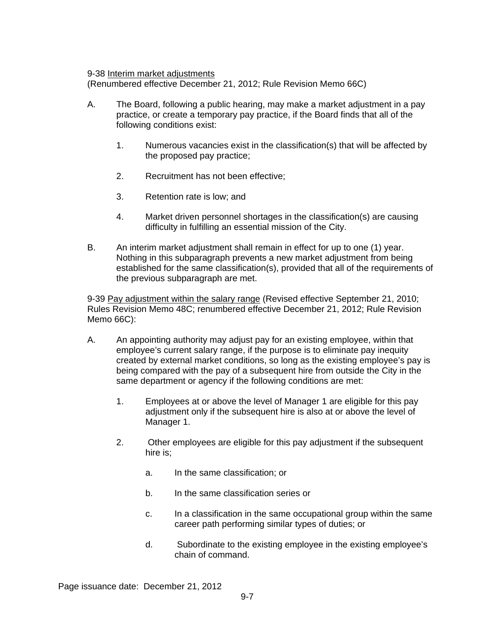9-38 Interim market adjustments

(Renumbered effective December 21, 2012; Rule Revision Memo 66C)

- A. The Board, following a public hearing, may make a market adjustment in a pay practice, or create a temporary pay practice, if the Board finds that all of the following conditions exist:
	- 1. Numerous vacancies exist in the classification(s) that will be affected by the proposed pay practice;
	- 2. Recruitment has not been effective;
	- 3. Retention rate is low; and
	- 4. Market driven personnel shortages in the classification(s) are causing difficulty in fulfilling an essential mission of the City.
- B. An interim market adjustment shall remain in effect for up to one (1) year. Nothing in this subparagraph prevents a new market adjustment from being established for the same classification(s), provided that all of the requirements of the previous subparagraph are met.

9-39 Pay adjustment within the salary range (Revised effective September 21, 2010; Rules Revision Memo 48C; renumbered effective December 21, 2012; Rule Revision Memo 66C):

- A. An appointing authority may adjust pay for an existing employee, within that employee's current salary range, if the purpose is to eliminate pay inequity created by external market conditions, so long as the existing employee's pay is being compared with the pay of a subsequent hire from outside the City in the same department or agency if the following conditions are met:
	- 1. Employees at or above the level of Manager 1 are eligible for this pay adjustment only if the subsequent hire is also at or above the level of Manager 1.
	- 2. Other employees are eligible for this pay adjustment if the subsequent hire is;
		- a. In the same classification; or
		- b. In the same classification series or
		- c. In a classification in the same occupational group within the same career path performing similar types of duties; or
		- d. Subordinate to the existing employee in the existing employee's chain of command.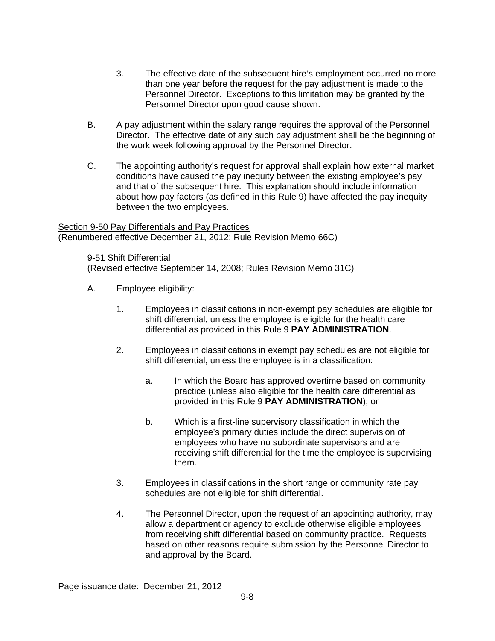- 3. The effective date of the subsequent hire's employment occurred no more than one year before the request for the pay adjustment is made to the Personnel Director. Exceptions to this limitation may be granted by the Personnel Director upon good cause shown.
- B. A pay adjustment within the salary range requires the approval of the Personnel Director. The effective date of any such pay adjustment shall be the beginning of the work week following approval by the Personnel Director.
- C. The appointing authority's request for approval shall explain how external market conditions have caused the pay inequity between the existing employee's pay and that of the subsequent hire. This explanation should include information about how pay factors (as defined in this Rule 9) have affected the pay inequity between the two employees.

Section 9-50 Pay Differentials and Pay Practices (Renumbered effective December 21, 2012; Rule Revision Memo 66C)

9-51 Shift Differential (Revised effective September 14, 2008; Rules Revision Memo 31C)

- A. Employee eligibility:
	- 1. Employees in classifications in non-exempt pay schedules are eligible for shift differential, unless the employee is eligible for the health care differential as provided in this Rule 9 **PAY ADMINISTRATION**.
	- 2. Employees in classifications in exempt pay schedules are not eligible for shift differential, unless the employee is in a classification:
		- a. In which the Board has approved overtime based on community practice (unless also eligible for the health care differential as provided in this Rule 9 **PAY ADMINISTRATION**); or
		- b. Which is a first-line supervisory classification in which the employee's primary duties include the direct supervision of employees who have no subordinate supervisors and are receiving shift differential for the time the employee is supervising them.
	- 3. Employees in classifications in the short range or community rate pay schedules are not eligible for shift differential.
	- 4. The Personnel Director, upon the request of an appointing authority, may allow a department or agency to exclude otherwise eligible employees from receiving shift differential based on community practice. Requests based on other reasons require submission by the Personnel Director to and approval by the Board.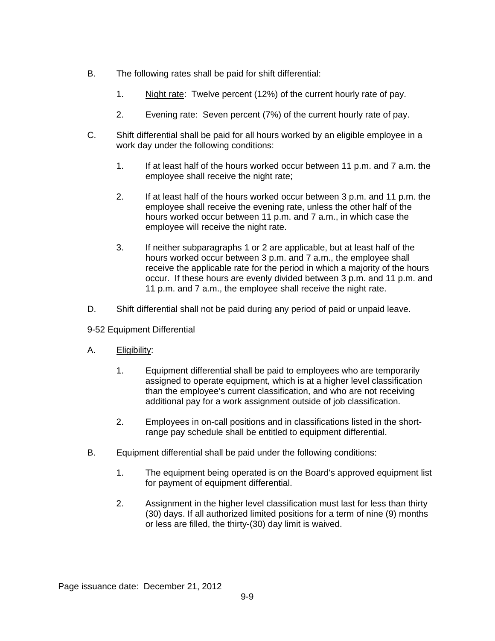- B. The following rates shall be paid for shift differential:
	- 1. Night rate: Twelve percent (12%) of the current hourly rate of pay.
	- 2. Evening rate: Seven percent (7%) of the current hourly rate of pay.
- C. Shift differential shall be paid for all hours worked by an eligible employee in a work day under the following conditions:
	- 1. If at least half of the hours worked occur between 11 p.m. and 7 a.m. the employee shall receive the night rate;
	- 2. If at least half of the hours worked occur between 3 p.m. and 11 p.m. the employee shall receive the evening rate, unless the other half of the hours worked occur between 11 p.m. and 7 a.m., in which case the employee will receive the night rate.
	- 3. If neither subparagraphs 1 or 2 are applicable, but at least half of the hours worked occur between 3 p.m. and 7 a.m., the employee shall receive the applicable rate for the period in which a majority of the hours occur. If these hours are evenly divided between 3 p.m. and 11 p.m. and 11 p.m. and 7 a.m., the employee shall receive the night rate.
- D. Shift differential shall not be paid during any period of paid or unpaid leave.

# 9-52 Equipment Differential

- A. Eligibility:
	- 1. Equipment differential shall be paid to employees who are temporarily assigned to operate equipment, which is at a higher level classification than the employee's current classification, and who are not receiving additional pay for a work assignment outside of job classification.
	- 2. Employees in on-call positions and in classifications listed in the shortrange pay schedule shall be entitled to equipment differential.
- B. Equipment differential shall be paid under the following conditions:
	- 1. The equipment being operated is on the Board's approved equipment list for payment of equipment differential.
	- 2. Assignment in the higher level classification must last for less than thirty (30) days. If all authorized limited positions for a term of nine (9) months or less are filled, the thirty-(30) day limit is waived.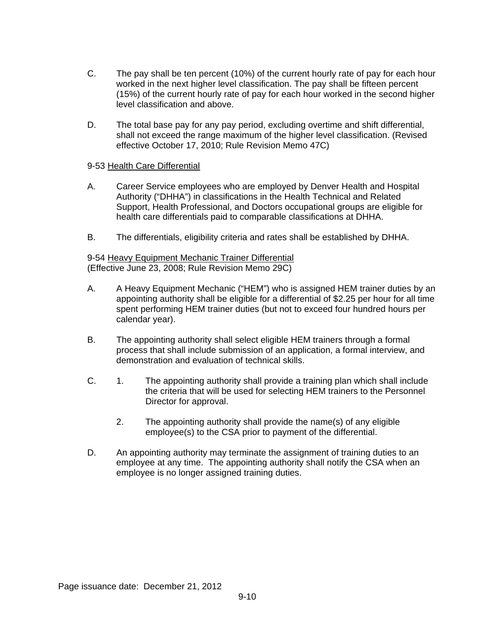- C. The pay shall be ten percent (10%) of the current hourly rate of pay for each hour worked in the next higher level classification. The pay shall be fifteen percent (15%) of the current hourly rate of pay for each hour worked in the second higher level classification and above.
- D. The total base pay for any pay period, excluding overtime and shift differential, shall not exceed the range maximum of the higher level classification. (Revised effective October 17, 2010; Rule Revision Memo 47C)

## 9-53 Health Care Differential

- A. Career Service employees who are employed by Denver Health and Hospital Authority ("DHHA") in classifications in the Health Technical and Related Support, Health Professional, and Doctors occupational groups are eligible for health care differentials paid to comparable classifications at DHHA.
- B. The differentials, eligibility criteria and rates shall be established by DHHA.

9-54 Heavy Equipment Mechanic Trainer Differential (Effective June 23, 2008; Rule Revision Memo 29C)

- A. A Heavy Equipment Mechanic ("HEM") who is assigned HEM trainer duties by an appointing authority shall be eligible for a differential of \$2.25 per hour for all time spent performing HEM trainer duties (but not to exceed four hundred hours per calendar year).
- B. The appointing authority shall select eligible HEM trainers through a formal process that shall include submission of an application, a formal interview, and demonstration and evaluation of technical skills.
- C. 1. The appointing authority shall provide a training plan which shall include the criteria that will be used for selecting HEM trainers to the Personnel Director for approval.
	- 2. The appointing authority shall provide the name(s) of any eligible employee(s) to the CSA prior to payment of the differential.
- D. An appointing authority may terminate the assignment of training duties to an employee at any time. The appointing authority shall notify the CSA when an employee is no longer assigned training duties.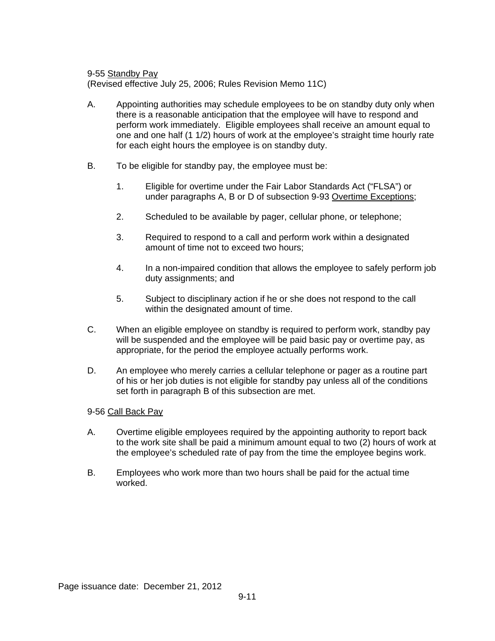9-55 Standby Pay

(Revised effective July 25, 2006; Rules Revision Memo 11C)

- A. Appointing authorities may schedule employees to be on standby duty only when there is a reasonable anticipation that the employee will have to respond and perform work immediately. Eligible employees shall receive an amount equal to one and one half (1 1/2) hours of work at the employee's straight time hourly rate for each eight hours the employee is on standby duty.
- B. To be eligible for standby pay, the employee must be:
	- 1. Eligible for overtime under the Fair Labor Standards Act ("FLSA") or under paragraphs A, B or D of subsection 9-93 Overtime Exceptions;
	- 2. Scheduled to be available by pager, cellular phone, or telephone;
	- 3. Required to respond to a call and perform work within a designated amount of time not to exceed two hours;
	- 4. In a non-impaired condition that allows the employee to safely perform job duty assignments; and
	- 5. Subject to disciplinary action if he or she does not respond to the call within the designated amount of time.
- C. When an eligible employee on standby is required to perform work, standby pay will be suspended and the employee will be paid basic pay or overtime pay, as appropriate, for the period the employee actually performs work.
- D. An employee who merely carries a cellular telephone or pager as a routine part of his or her job duties is not eligible for standby pay unless all of the conditions set forth in paragraph B of this subsection are met.

### 9-56 Call Back Pay

- A. Overtime eligible employees required by the appointing authority to report back to the work site shall be paid a minimum amount equal to two (2) hours of work at the employee's scheduled rate of pay from the time the employee begins work.
- B. Employees who work more than two hours shall be paid for the actual time worked.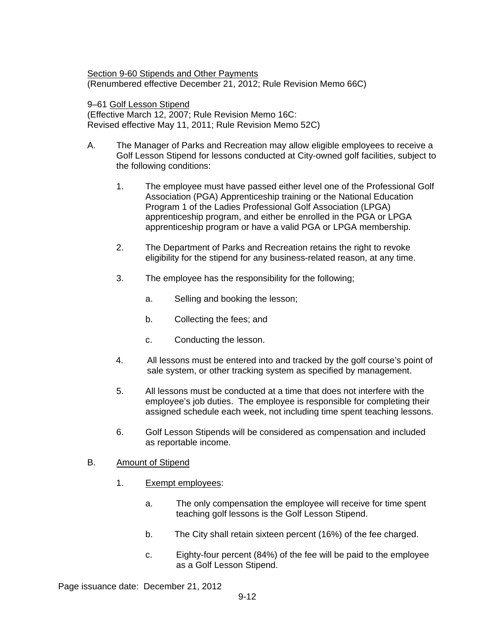Section 9-60 Stipends and Other Payments (Renumbered effective December 21, 2012; Rule Revision Memo 66C)

9–61 Golf Lesson Stipend (Effective March 12, 2007; Rule Revision Memo 16C: Revised effective May 11, 2011; Rule Revision Memo 52C)

- A. The Manager of Parks and Recreation may allow eligible employees to receive a Golf Lesson Stipend for lessons conducted at City-owned golf facilities, subject to the following conditions:
	- 1. The employee must have passed either level one of the Professional Golf Association (PGA) Apprenticeship training or the National Education Program 1 of the Ladies Professional Golf Association (LPGA) apprenticeship program, and either be enrolled in the PGA or LPGA apprenticeship program or have a valid PGA or LPGA membership.
	- 2. The Department of Parks and Recreation retains the right to revoke eligibility for the stipend for any business-related reason, at any time.
	- 3. The employee has the responsibility for the following;
		- a. Selling and booking the lesson;
		- b. Collecting the fees; and
		- c. Conducting the lesson.
	- 4. All lessons must be entered into and tracked by the golf course's point of sale system, or other tracking system as specified by management.
	- 5. All lessons must be conducted at a time that does not interfere with the employee's job duties. The employee is responsible for completing their assigned schedule each week, not including time spent teaching lessons.
	- 6. Golf Lesson Stipends will be considered as compensation and included as reportable income.

### B. Amount of Stipend

- 1. Exempt employees:
	- a. The only compensation the employee will receive for time spent teaching golf lessons is the Golf Lesson Stipend.
	- b. The City shall retain sixteen percent (16%) of the fee charged.
	- c. Eighty-four percent (84%) of the fee will be paid to the employee as a Golf Lesson Stipend.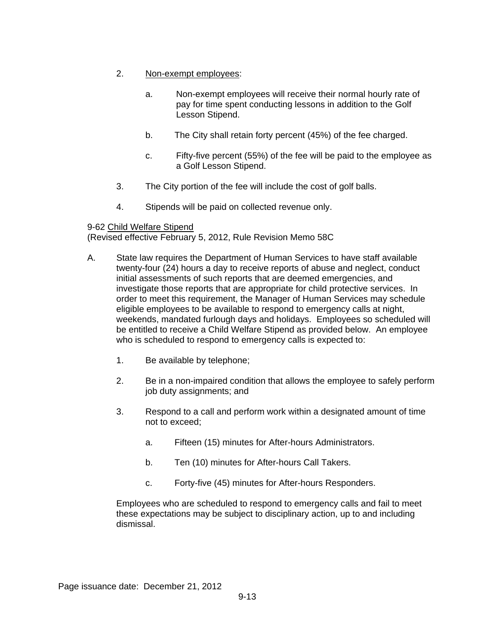- 2. Non-exempt employees:
	- a. Non-exempt employees will receive their normal hourly rate of pay for time spent conducting lessons in addition to the Golf Lesson Stipend.
	- b. The City shall retain forty percent (45%) of the fee charged.
	- c. Fifty-five percent (55%) of the fee will be paid to the employee as a Golf Lesson Stipend.
- 3. The City portion of the fee will include the cost of golf balls.
- 4. Stipends will be paid on collected revenue only.

# 9-62 Child Welfare Stipend

(Revised effective February 5, 2012, Rule Revision Memo 58C

- A. State law requires the Department of Human Services to have staff available twenty-four (24) hours a day to receive reports of abuse and neglect, conduct initial assessments of such reports that are deemed emergencies, and investigate those reports that are appropriate for child protective services. In order to meet this requirement, the Manager of Human Services may schedule eligible employees to be available to respond to emergency calls at night, weekends, mandated furlough days and holidays. Employees so scheduled will be entitled to receive a Child Welfare Stipend as provided below. An employee who is scheduled to respond to emergency calls is expected to:
	- 1. Be available by telephone;
	- 2. Be in a non-impaired condition that allows the employee to safely perform job duty assignments; and
	- 3. Respond to a call and perform work within a designated amount of time not to exceed;
		- a. Fifteen (15) minutes for After-hours Administrators.
		- b. Ten (10) minutes for After-hours Call Takers.
		- c. Forty-five (45) minutes for After-hours Responders.

Employees who are scheduled to respond to emergency calls and fail to meet these expectations may be subject to disciplinary action, up to and including dismissal.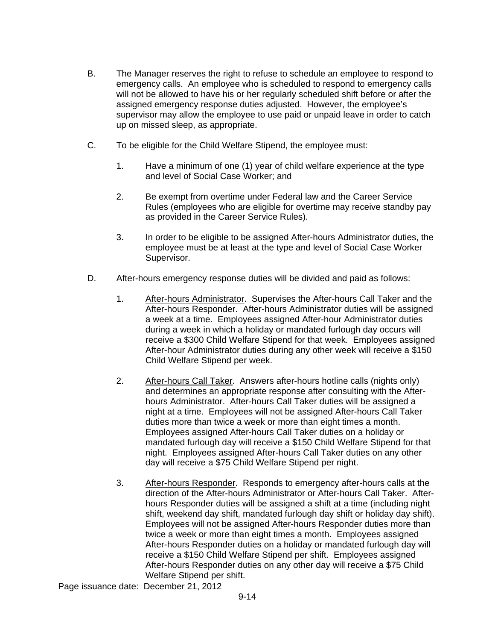- B. The Manager reserves the right to refuse to schedule an employee to respond to emergency calls. An employee who is scheduled to respond to emergency calls will not be allowed to have his or her regularly scheduled shift before or after the assigned emergency response duties adjusted. However, the employee's supervisor may allow the employee to use paid or unpaid leave in order to catch up on missed sleep, as appropriate.
- C. To be eligible for the Child Welfare Stipend, the employee must:
	- 1. Have a minimum of one (1) year of child welfare experience at the type and level of Social Case Worker; and
	- 2. Be exempt from overtime under Federal law and the Career Service Rules (employees who are eligible for overtime may receive standby pay as provided in the Career Service Rules).
	- 3. In order to be eligible to be assigned After-hours Administrator duties, the employee must be at least at the type and level of Social Case Worker Supervisor.
- D. After-hours emergency response duties will be divided and paid as follows:
	- 1. After-hours Administrator. Supervises the After-hours Call Taker and the After-hours Responder. After-hours Administrator duties will be assigned a week at a time. Employees assigned After-hour Administrator duties during a week in which a holiday or mandated furlough day occurs will receive a \$300 Child Welfare Stipend for that week. Employees assigned After-hour Administrator duties during any other week will receive a \$150 Child Welfare Stipend per week.
	- 2. After-hours Call Taker. Answers after-hours hotline calls (nights only) and determines an appropriate response after consulting with the Afterhours Administrator. After-hours Call Taker duties will be assigned a night at a time. Employees will not be assigned After-hours Call Taker duties more than twice a week or more than eight times a month. Employees assigned After-hours Call Taker duties on a holiday or mandated furlough day will receive a \$150 Child Welfare Stipend for that night. Employees assigned After-hours Call Taker duties on any other day will receive a \$75 Child Welfare Stipend per night.
	- 3. After-hours Responder. Responds to emergency after-hours calls at the direction of the After-hours Administrator or After-hours Call Taker. Afterhours Responder duties will be assigned a shift at a time (including night shift, weekend day shift, mandated furlough day shift or holiday day shift). Employees will not be assigned After-hours Responder duties more than twice a week or more than eight times a month. Employees assigned After-hours Responder duties on a holiday or mandated furlough day will receive a \$150 Child Welfare Stipend per shift. Employees assigned After-hours Responder duties on any other day will receive a \$75 Child Welfare Stipend per shift.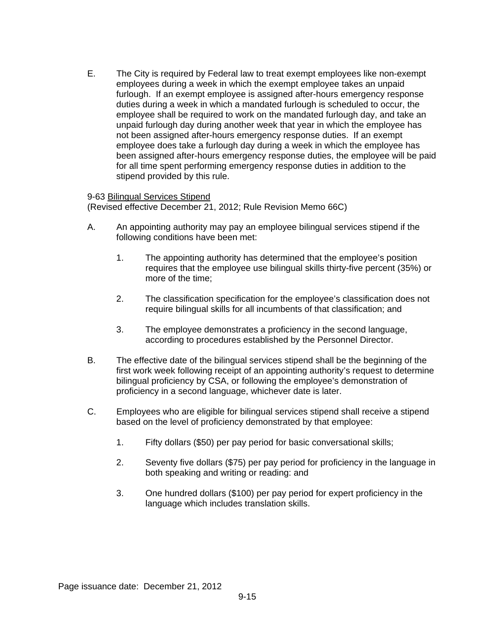E. The City is required by Federal law to treat exempt employees like non-exempt employees during a week in which the exempt employee takes an unpaid furlough. If an exempt employee is assigned after-hours emergency response duties during a week in which a mandated furlough is scheduled to occur, the employee shall be required to work on the mandated furlough day, and take an unpaid furlough day during another week that year in which the employee has not been assigned after-hours emergency response duties. If an exempt employee does take a furlough day during a week in which the employee has been assigned after-hours emergency response duties, the employee will be paid for all time spent performing emergency response duties in addition to the stipend provided by this rule.

## 9-63 Bilingual Services Stipend

(Revised effective December 21, 2012; Rule Revision Memo 66C)

- A. An appointing authority may pay an employee bilingual services stipend if the following conditions have been met:
	- 1. The appointing authority has determined that the employee's position requires that the employee use bilingual skills thirty-five percent (35%) or more of the time;
	- 2. The classification specification for the employee's classification does not require bilingual skills for all incumbents of that classification; and
	- 3. The employee demonstrates a proficiency in the second language, according to procedures established by the Personnel Director.
- B. The effective date of the bilingual services stipend shall be the beginning of the first work week following receipt of an appointing authority's request to determine bilingual proficiency by CSA, or following the employee's demonstration of proficiency in a second language, whichever date is later.
- C. Employees who are eligible for bilingual services stipend shall receive a stipend based on the level of proficiency demonstrated by that employee:
	- 1. Fifty dollars (\$50) per pay period for basic conversational skills;
	- 2. Seventy five dollars (\$75) per pay period for proficiency in the language in both speaking and writing or reading: and
	- 3. One hundred dollars (\$100) per pay period for expert proficiency in the language which includes translation skills.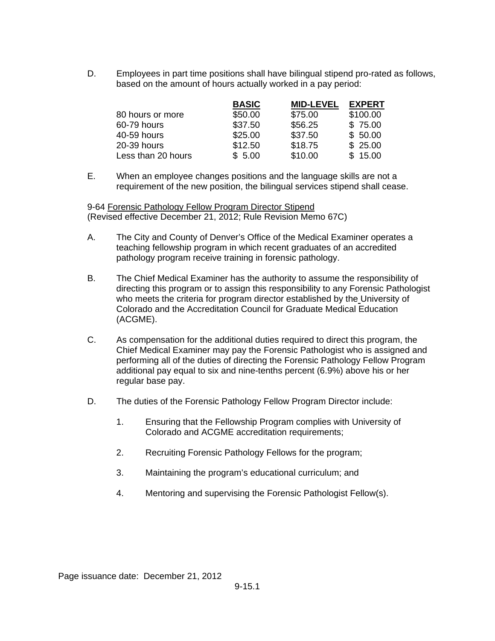D. Employees in part time positions shall have bilingual stipend pro-rated as follows, based on the amount of hours actually worked in a pay period:

|                    | <b>BASIC</b> | <b>MID-LEVEL</b> | <b>EXPERT</b> |
|--------------------|--------------|------------------|---------------|
| 80 hours or more   | \$50.00      | \$75.00          | \$100.00      |
| 60-79 hours        | \$37.50      | \$56.25          | \$75.00       |
| 40-59 hours        | \$25.00      | \$37.50          | \$50.00       |
| 20-39 hours        | \$12.50      | \$18.75          | \$25.00       |
| Less than 20 hours | \$5.00       | \$10.00          | \$15.00       |

E. When an employee changes positions and the language skills are not a requirement of the new position, the bilingual services stipend shall cease.

9-64 Forensic Pathology Fellow Program Director Stipend (Revised effective December 21, 2012; Rule Revision Memo 67C)

- A. The City and County of Denver's Office of the Medical Examiner operates a teaching fellowship program in which recent graduates of an accredited pathology program receive training in forensic pathology.
- B. The Chief Medical Examiner has the authority to assume the responsibility of directing this program or to assign this responsibility to any Forensic Pathologist who meets the criteria for program director established by the University of Colorado and the Accreditation Council for Graduate Medical Education (ACGME).
- C. As compensation for the additional duties required to direct this program, the Chief Medical Examiner may pay the Forensic Pathologist who is assigned and performing all of the duties of directing the Forensic Pathology Fellow Program additional pay equal to six and nine-tenths percent (6.9%) above his or her regular base pay.
- D. The duties of the Forensic Pathology Fellow Program Director include:
	- 1. Ensuring that the Fellowship Program complies with University of Colorado and ACGME accreditation requirements;
	- 2. Recruiting Forensic Pathology Fellows for the program;
	- 3. Maintaining the program's educational curriculum; and
	- 4. Mentoring and supervising the Forensic Pathologist Fellow(s).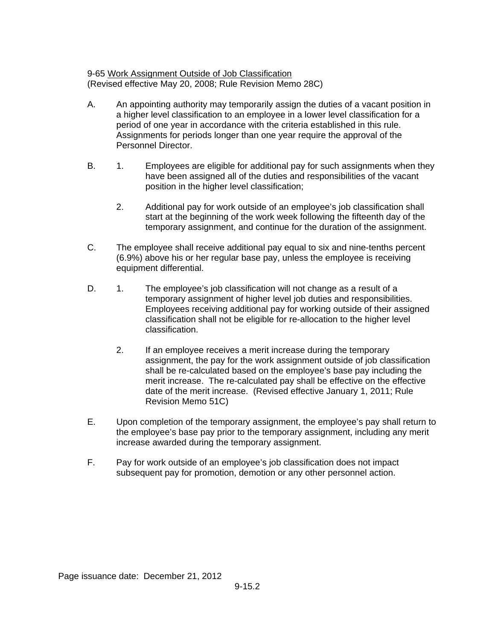9-65 Work Assignment Outside of Job Classification (Revised effective May 20, 2008; Rule Revision Memo 28C)

- A. An appointing authority may temporarily assign the duties of a vacant position in a higher level classification to an employee in a lower level classification for a period of one year in accordance with the criteria established in this rule. Assignments for periods longer than one year require the approval of the Personnel Director.
- B. 1. Employees are eligible for additional pay for such assignments when they have been assigned all of the duties and responsibilities of the vacant position in the higher level classification;
	- 2. Additional pay for work outside of an employee's job classification shall start at the beginning of the work week following the fifteenth day of the temporary assignment, and continue for the duration of the assignment.
- C. The employee shall receive additional pay equal to six and nine-tenths percent (6.9%) above his or her regular base pay, unless the employee is receiving equipment differential.
- D. 1. The employee's job classification will not change as a result of a temporary assignment of higher level job duties and responsibilities. Employees receiving additional pay for working outside of their assigned classification shall not be eligible for re-allocation to the higher level classification.
	- 2. If an employee receives a merit increase during the temporary assignment, the pay for the work assignment outside of job classification shall be re-calculated based on the employee's base pay including the merit increase. The re-calculated pay shall be effective on the effective date of the merit increase. (Revised effective January 1, 2011; Rule Revision Memo 51C)
- E. Upon completion of the temporary assignment, the employee's pay shall return to the employee's base pay prior to the temporary assignment, including any merit increase awarded during the temporary assignment.
- F. Pay for work outside of an employee's job classification does not impact subsequent pay for promotion, demotion or any other personnel action.